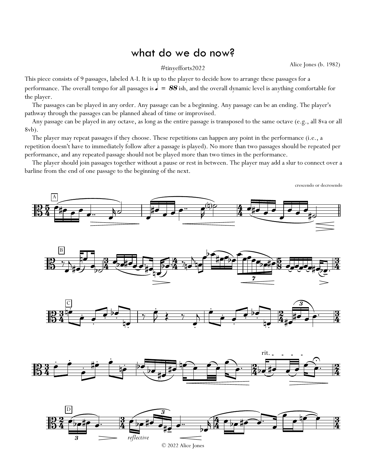## what do we do now?

Alice Jones (b. 1982) #tinyefforts2022

This piece consists of 9 passages, labeled A-I. It is up to the player to decide how to arrange these passages for a performance. The overall tempo for all passages is  $\frac{1}{s} = 88$  ish, and the overall dynamic level is anything comfortable for the player.

The passages can be played in any order. Any passage can be a beginning. Any passage can be an ending. The player's pathway through the passages can be planned ahead of time or improvised.

Any passage can be played in any octave, as long as the entire passage is transposed to the same octave (e.g., all 8va or all 8vb).

The player may repeat passages if they choose. These repetitions can happen any point in the performance (i.e., a repetition doesn't have to immediately follow after a passage is played). No more than two passages should be repeated per performance, and any repeated passage should not be played more than two times in the performance.

The player should join passages together without a pause or rest in between. The player may add a slur to connect over a barline from the end of one passage to the beginning of the next.

crescendo or decresendo